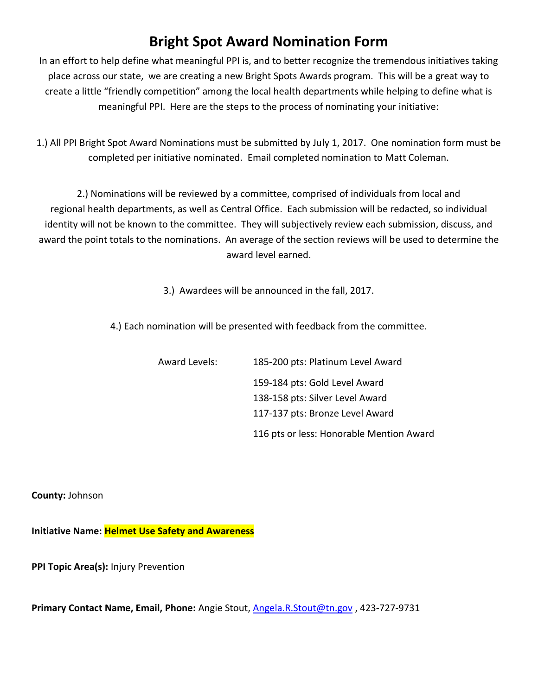# **Bright Spot Award Nomination Form**

In an effort to help define what meaningful PPI is, and to better recognize the tremendous initiatives taking place across our state, we are creating a new Bright Spots Awards program. This will be a great way to create a little "friendly competition" among the local health departments while helping to define what is meaningful PPI. Here are the steps to the process of nominating your initiative:

1.) All PPI Bright Spot Award Nominations must be submitted by July 1, 2017. One nomination form must be completed per initiative nominated. Email completed nomination to Matt Coleman.

2.) Nominations will be reviewed by a committee, comprised of individuals from local and regional health departments, as well as Central Office. Each submission will be redacted, so individual identity will not be known to the committee. They will subjectively review each submission, discuss, and award the point totals to the nominations. An average of the section reviews will be used to determine the award level earned.

3.) Awardees will be announced in the fall, 2017.

4.) Each nomination will be presented with feedback from the committee.

| <b>Award Levels:</b> | 185-200 pts: Platinum Level Award        |
|----------------------|------------------------------------------|
|                      | 159-184 pts: Gold Level Award            |
|                      | 138-158 pts: Silver Level Award          |
|                      | 117-137 pts: Bronze Level Award          |
|                      | 116 pts or less: Honorable Mention Award |

**County:** Johnson

**Initiative Name: Helmet Use Safety and Awareness**

**PPI Topic Area(s):** Injury Prevention

**Primary Contact Name, Email, Phone:** Angie Stout, [Angela.R.Stout@tn.gov](mailto:Angela.R.Stout@tn.gov) , 423-727-9731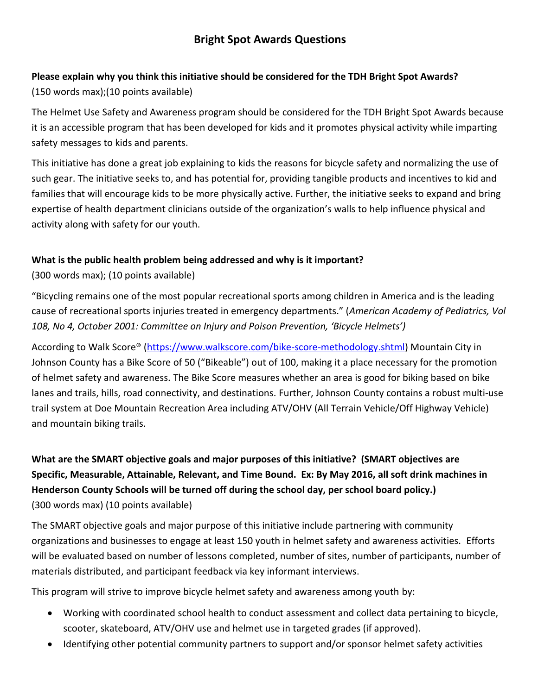#### **Please explain why you think this initiative should be considered for the TDH Bright Spot Awards?**

(150 words max);(10 points available)

The Helmet Use Safety and Awareness program should be considered for the TDH Bright Spot Awards because it is an accessible program that has been developed for kids and it promotes physical activity while imparting safety messages to kids and parents.

This initiative has done a great job explaining to kids the reasons for bicycle safety and normalizing the use of such gear. The initiative seeks to, and has potential for, providing tangible products and incentives to kid and families that will encourage kids to be more physically active. Further, the initiative seeks to expand and bring expertise of health department clinicians outside of the organization's walls to help influence physical and activity along with safety for our youth.

#### **What is the public health problem being addressed and why is it important?**

(300 words max); (10 points available)

"Bicycling remains one of the most popular recreational sports among children in America and is the leading cause of recreational sports injuries treated in emergency departments." (*American Academy of Pediatrics, Vol 108, No 4, October 2001: Committee on Injury and Poison Prevention, 'Bicycle Helmets')*

According to Walk Score® [\(https://www.walkscore.com/bike](https://www.walkscore.com/bike-score-methodology.shtml)-score-methodology.shtml) Mountain City in Johnson County has a Bike Score of 50 ("Bikeable") out of 100, making it a place necessary for the promotion of helmet safety and awareness. The Bike Score measures whether an area is good for biking based on bike lanes and trails, hills, road connectivity, and destinations. Further, Johnson County contains a robust multi-use trail system at Doe Mountain Recreation Area including ATV/OHV (All Terrain Vehicle/Off Highway Vehicle) and mountain biking trails.

## **What are the SMART objective goals and major purposes of this initiative? (SMART objectives are Specific, Measurable, Attainable, Relevant, and Time Bound. Ex: By May 2016, all soft drink machines in Henderson County Schools will be turned off during the school day, per school board policy.)**  (300 words max) (10 points available)

The SMART objective goals and major purpose of this initiative include partnering with community organizations and businesses to engage at least 150 youth in helmet safety and awareness activities. Efforts will be evaluated based on number of lessons completed, number of sites, number of participants, number of materials distributed, and participant feedback via key informant interviews.

This program will strive to improve bicycle helmet safety and awareness among youth by:

- Working with coordinated school health to conduct assessment and collect data pertaining to bicycle, scooter, skateboard, ATV/OHV use and helmet use in targeted grades (if approved).
- Identifying other potential community partners to support and/or sponsor helmet safety activities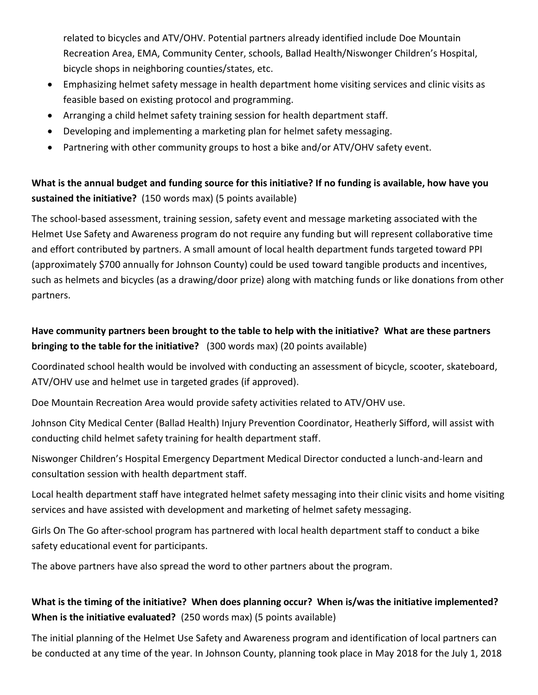related to bicycles and ATV/OHV. Potential partners already identified include Doe Mountain Recreation Area, EMA, Community Center, schools, Ballad Health/Niswonger Children's Hospital, bicycle shops in neighboring counties/states, etc.

- Emphasizing helmet safety message in health department home visiting services and clinic visits as feasible based on existing protocol and programming.
- Arranging a child helmet safety training session for health department staff.
- Developing and implementing a marketing plan for helmet safety messaging.
- Partnering with other community groups to host a bike and/or ATV/OHV safety event.

#### **What is the annual budget and funding source for this initiative? If no funding is available, how have you sustained the initiative?** (150 words max) (5 points available)

The school-based assessment, training session, safety event and message marketing associated with the Helmet Use Safety and Awareness program do not require any funding but will represent collaborative time and effort contributed by partners. A small amount of local health department funds targeted toward PPI (approximately \$700 annually for Johnson County) could be used toward tangible products and incentives, such as helmets and bicycles (as a drawing/door prize) along with matching funds or like donations from other partners.

#### **Have community partners been brought to the table to help with the initiative? What are these partners bringing to the table for the initiative?** (300 words max) (20 points available)

Coordinated school health would be involved with conducting an assessment of bicycle, scooter, skateboard, ATV/OHV use and helmet use in targeted grades (if approved).

Doe Mountain Recreation Area would provide safety activities related to ATV/OHV use.

Johnson City Medical Center (Ballad Health) Injury Prevention Coordinator, Heatherly Sifford, will assist with conducting child helmet safety training for health department staff.

Niswonger Children's Hospital Emergency Department Medical Director conducted a lunch-and-learn and consultation session with health department staff.

Local health department staff have integrated helmet safety messaging into their clinic visits and home visiting services and have assisted with development and marketing of helmet safety messaging.

Girls On The Go after-school program has partnered with local health department staff to conduct a bike safety educational event for participants.

The above partners have also spread the word to other partners about the program.

#### **What is the timing of the initiative? When does planning occur? When is/was the initiative implemented? When is the initiative evaluated?** (250 words max) (5 points available)

The initial planning of the Helmet Use Safety and Awareness program and identification of local partners can be conducted at any time of the year. In Johnson County, planning took place in May 2018 for the July 1, 2018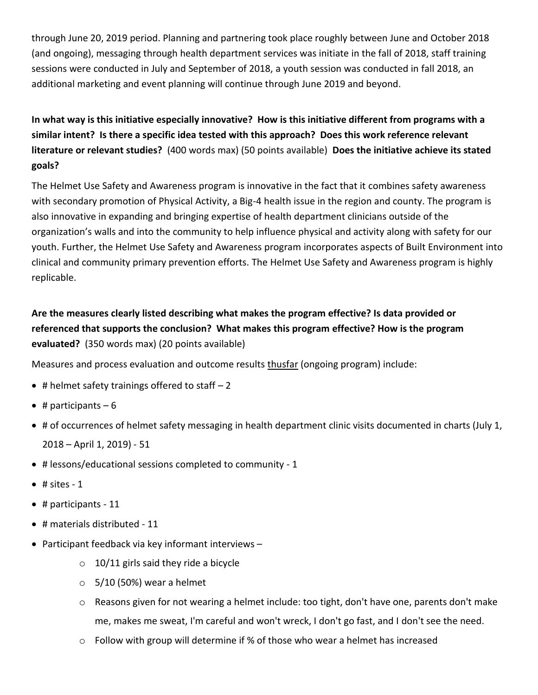through June 20, 2019 period. Planning and partnering took place roughly between June and October 2018 (and ongoing), messaging through health department services was initiate in the fall of 2018, staff training sessions were conducted in July and September of 2018, a youth session was conducted in fall 2018, an additional marketing and event planning will continue through June 2019 and beyond.

## **In what way is this initiative especially innovative? How is this initiative different from programs with a similar intent? Is there a specific idea tested with this approach? Does this work reference relevant literature or relevant studies?** (400 words max) (50 points available) **Does the initiative achieve its stated goals?**

The Helmet Use Safety and Awareness program is innovative in the fact that it combines safety awareness with secondary promotion of Physical Activity, a Big-4 health issue in the region and county. The program is also innovative in expanding and bringing expertise of health department clinicians outside of the organization's walls and into the community to help influence physical and activity along with safety for our youth. Further, the Helmet Use Safety and Awareness program incorporates aspects of Built Environment into clinical and community primary prevention efforts. The Helmet Use Safety and Awareness program is highly replicable.

## **Are the measures clearly listed describing what makes the program effective? Is data provided or referenced that supports the conclusion? What makes this program effective? How is the program evaluated?** (350 words max) (20 points available)

Measures and process evaluation and outcome results thusfar (ongoing program) include:

- $\bullet$  # helmet safety trainings offered to staff  $-2$
- $\bullet$  # participants 6
- # of occurrences of helmet safety messaging in health department clinic visits documented in charts (July 1, 2018 – April 1, 2019) - 51
- # lessons/educational sessions completed to community 1
- $\bullet$  # sites 1
- $\bullet$  # participants 11
- $\bullet$  # materials distributed 11
- Participant feedback via key informant interviews
	- $\circ$  10/11 girls said they ride a bicycle
	- $\circ$  5/10 (50%) wear a helmet
	- $\circ$  Reasons given for not wearing a helmet include: too tight, don't have one, parents don't make me, makes me sweat, I'm careful and won't wreck, I don't go fast, and I don't see the need.
	- o Follow with group will determine if % of those who wear a helmet has increased